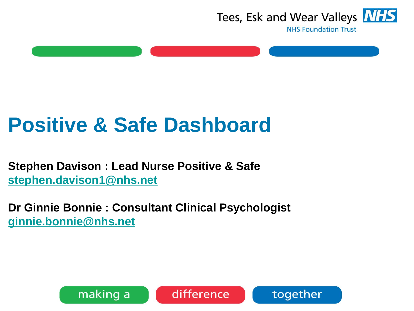

# **Positive & Safe Dashboard**

**Stephen Davison : Lead Nurse Positive & Safe [stephen.davison1@nhs.net](mailto:stephen.davison1@nhs.net)**

**Dr Ginnie Bonnie : Consultant Clinical Psychologist [ginnie.bonnie@nhs.net](mailto:ginnie.bonnie@nhs.net)**





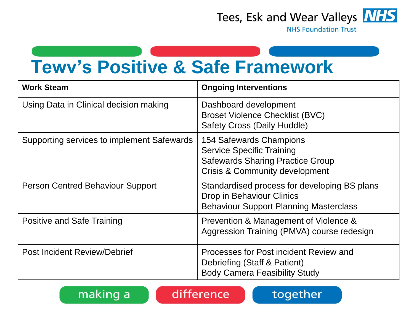

**NHS Foundation Trust** 

## **Tewv's Positive & Safe Framework**

| <b>Work Steam</b>                          | <b>Ongoing Interventions</b>                                                                                                                        |
|--------------------------------------------|-----------------------------------------------------------------------------------------------------------------------------------------------------|
| Using Data in Clinical decision making     | Dashboard development<br><b>Broset Violence Checklist (BVC)</b><br><b>Safety Cross (Daily Huddle)</b>                                               |
| Supporting services to implement Safewards | 154 Safewards Champions<br><b>Service Specific Training</b><br><b>Safewards Sharing Practice Group</b><br><b>Crisis &amp; Community development</b> |
| <b>Person Centred Behaviour Support</b>    | Standardised process for developing BS plans<br><b>Drop in Behaviour Clinics</b><br><b>Behaviour Support Planning Masterclass</b>                   |
| Positive and Safe Training                 | Prevention & Management of Violence &<br>Aggression Training (PMVA) course redesign                                                                 |
| <b>Post Incident Review/Debrief</b>        | Processes for Post incident Review and<br>Debriefing (Staff & Patient)<br><b>Body Camera Feasibility Study</b>                                      |



difference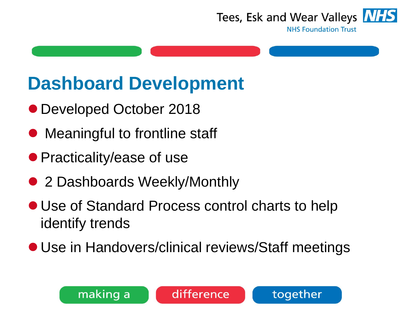

**NHS Foundation Trust** 

## **Dashboard Development**

- Developed October 2018
- Meaningful to frontline staff
- Practicality/ease of use
- 2 Dashboards Weekly/Monthly
- Use of Standard Process control charts to help identify trends
- Use in Handovers/clinical reviews/Staff meetings

difference

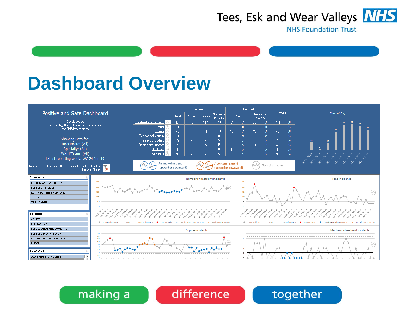

### **Dashboard Overview**

making a



### difference

### together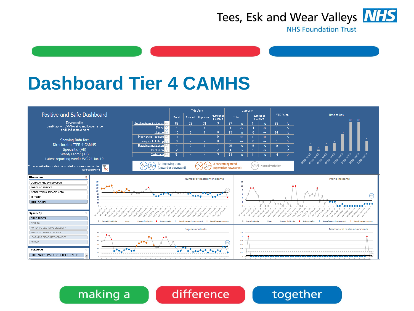

### **Dashboard Tier 4 CAMHS**



### making a difference

### together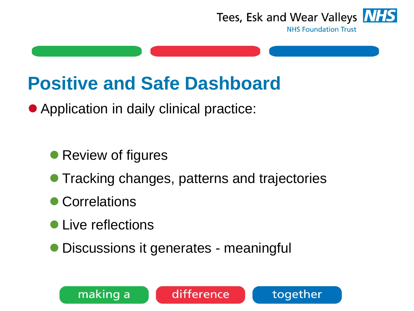

### **NHS Foundation Trust**

### **Positive and Safe Dashboard**

● Application in daily clinical practice:

● Review of figures

● Tracking changes, patterns and trajectories

difference

- Correlations
- Live reflections

making a

⚫ Discussions it generates - meaningful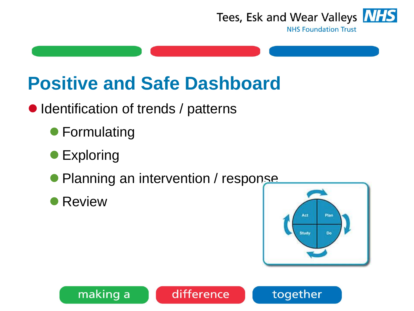

## **Positive and Safe Dashboard**

- Identification of trends / patterns
	- Formulating
	- Exploring
	- Planning an intervention / response

difference

**Review** 

making a



together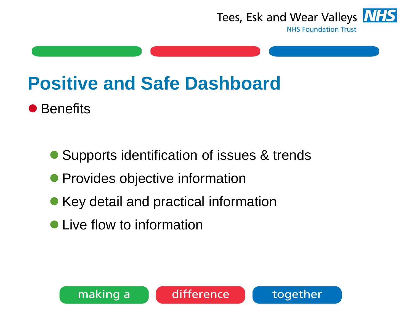

**NHS Foundation Trust** 

### **Positive and Safe Dashboard**

● Benefits

● Supports identification of issues & trends

difference

- Provides objective information
- Key detail and practical information
- Live flow to information

making a